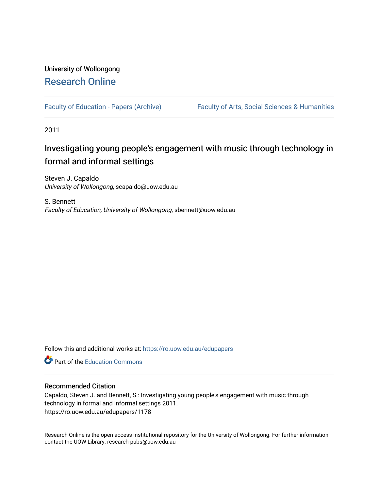## University of Wollongong [Research Online](https://ro.uow.edu.au/)

[Faculty of Education - Papers \(Archive\)](https://ro.uow.edu.au/edupapers) Faculty of Arts, Social Sciences & Humanities

2011

# Investigating young people's engagement with music through technology in formal and informal settings

Steven J. Capaldo University of Wollongong, scapaldo@uow.edu.au

S. Bennett Faculty of Education, University of Wollongong, sbennett@uow.edu.au

Follow this and additional works at: [https://ro.uow.edu.au/edupapers](https://ro.uow.edu.au/edupapers?utm_source=ro.uow.edu.au%2Fedupapers%2F1178&utm_medium=PDF&utm_campaign=PDFCoverPages) 

**C** Part of the [Education Commons](http://network.bepress.com/hgg/discipline/784?utm_source=ro.uow.edu.au%2Fedupapers%2F1178&utm_medium=PDF&utm_campaign=PDFCoverPages)

## Recommended Citation

Capaldo, Steven J. and Bennett, S.: Investigating young people's engagement with music through technology in formal and informal settings 2011. https://ro.uow.edu.au/edupapers/1178

Research Online is the open access institutional repository for the University of Wollongong. For further information contact the UOW Library: research-pubs@uow.edu.au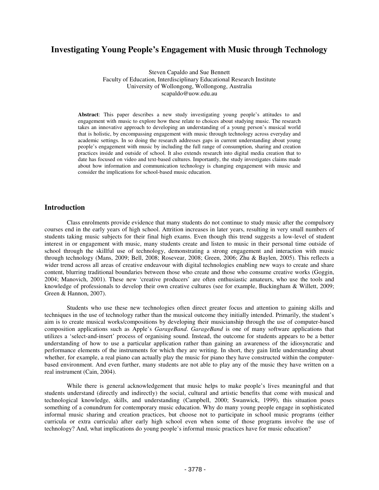## **Investigating Young People's Engagement with Music through Technology**

Steven Capaldo and Sue Bennett Faculty of Education, Interdisciplinary Educational Research Institute University of Wollongong, Wollongong, Australia scapaldo@uow.edu.au

**Abstract**: This paper describes a new study investigating young people's attitudes to and engagement with music to explore how these relate to choices about studying music. The research takes an innovative approach to developing an understanding of a young person's musical world that is holistic, by encompassing engagement with music through technology across everyday and academic settings. In so doing the research addresses gaps in current understanding about young people's engagement with music by including the full range of consumption, sharing and creation practices inside and outside of school. It also extends research into digital media creation that to date has focused on video and text-based cultures. Importantly, the study investigates claims made about how information and communication technology is changing engagement with music and consider the implications for school-based music education.

## **Introduction**

Class enrolments provide evidence that many students do not continue to study music after the compulsory courses end in the early years of high school. Attrition increases in later years, resulting in very small numbers of students taking music subjects for their final high exams. Even though this trend suggests a low-level of student interest in or engagement with music, many students create and listen to music in their personal time outside of school through the skillful use of technology, demonstrating a strong engagement and interaction with music through technology (Mans, 2009; Bell, 2008; Rosevear, 2008; Green, 2006; Zhu & Baylen, 2005). This reflects a wider trend across all areas of creative endeavour with digital technologies enabling new ways to create and share content, blurring traditional boundaries between those who create and those who consume creative works (Goggin, 2004; Manovich, 2001). These new 'creative producers' are often enthusiastic amateurs, who use the tools and knowledge of professionals to develop their own creative cultures (see for example, Buckingham & Willett, 2009; Green & Hannon, 2007).

Students who use these new technologies often direct greater focus and attention to gaining skills and techniques in the use of technology rather than the musical outcome they initially intended. Primarily, the student's aim is to create musical works/compositions by developing their musicianship through the use of computer-based composition applications such as Apple's *GarageBand*. *GarageBand* is one of many software applications that utilizes a 'select-and-insert' process of organising sound. Instead, the outcome for students appears to be a better understanding of how to use a particular application rather than gaining an awareness of the idiosyncratic and performance elements of the instruments for which they are writing. In short, they gain little understanding about whether, for example, a real piano can actually play the music for piano they have constructed within the computerbased environment. And even further, many students are not able to play any of the music they have written on a real instrument (Cain, 2004).

While there is general acknowledgement that music helps to make people's lives meaningful and that students understand (directly and indirectly) the social, cultural and artistic benefits that come with musical and technological knowledge, skills, and understanding (Campbell, 2000; Swanwick, 1999), this situation poses something of a conundrum for contemporary music education. Why do many young people engage in sophisticated informal music sharing and creation practices, but choose not to participate in school music programs (either curricula or extra curricula) after early high school even when some of those programs involve the use of technology? And, what implications do young people's informal music practices have for music education?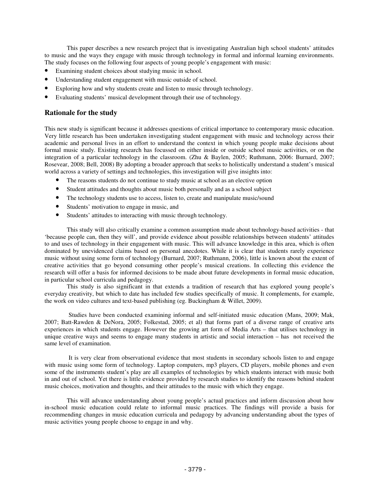This paper describes a new research project that is investigating Australian high school students' attitudes to music and the ways they engage with music through technology in formal and informal learning environments. The study focuses on the following four aspects of young people's engagement with music:

- Examining student choices about studying music in school.
- Understanding student engagement with music outside of school.
- Exploring how and why students create and listen to music through technology.
- Evaluating students' musical development through their use of technology.

#### **Rationale for the study**

This new study is significant because it addresses questions of critical importance to contemporary music education. Very little research has been undertaken investigating student engagement with music and technology across their academic and personal lives in an effort to understand the context in which young people make decisions about formal music study. Existing research has focussed on either inside or outside school music activities, or on the integration of a particular technology in the classroom. (Zhu & Baylen, 2005; Ruthmann, 2006: Burnard, 2007; Rosevear, 2008; Bell, 2008) By adopting a broader approach that seeks to holistically understand a student's musical world across a variety of settings and technologies, this investigation will give insights into:

- The reasons students do not continue to study music at school as an elective option
- Student attitudes and thoughts about music both personally and as a school subject
- The technology students use to access, listen to, create and manipulate music/sound
- Students' motivation to engage in music, and
- Students' attitudes to interacting with music through technology.

This study will also critically examine a common assumption made about technology-based activities - that 'because people can, then they will', and provide evidence about possible relationships between students' attitudes to and uses of technology in their engagement with music. This will advance knowledge in this area, which is often dominated by unevidenced claims based on personal anecdotes. While it is clear that students rarely experience music without using some form of technology (Burnard, 2007; Ruthmann, 2006), little is known about the extent of creative activities that go beyond consuming other people's musical creations. In collecting this evidence the research will offer a basis for informed decisions to be made about future developments in formal music education, in particular school curricula and pedagogy.

This study is also significant in that extends a tradition of research that has explored young people's everyday creativity, but which to date has included few studies specifically of music. It complements, for example, the work on video cultures and text-based publishing (eg. Buckingham & Willet, 2009).

Studies have been conducted examining informal and self-initiated music education (Mans, 2009; Mak, 2007; Batt-Rawden & DeNora, 2005; Folkestad, 2005; et al) that forms part of a diverse range of creative arts experiences in which students engage. However the growing art form of Media Arts – that utilises technology in unique creative ways and seems to engage many students in artistic and social interaction – has not received the same level of examination.

It is very clear from observational evidence that most students in secondary schools listen to and engage with music using some form of technology. Laptop computers, mp3 players, CD players, mobile phones and even some of the instruments student's play are all examples of technologies by which students interact with music both in and out of school. Yet there is little evidence provided by research studies to identify the reasons behind student music choices, motivation and thoughts, and their attitudes to the music with which they engage.

This will advance understanding about young people's actual practices and inform discussion about how in-school music education could relate to informal music practices. The findings will provide a basis for recommending changes in music education curricula and pedagogy by advancing understanding about the types of music activities young people choose to engage in and why.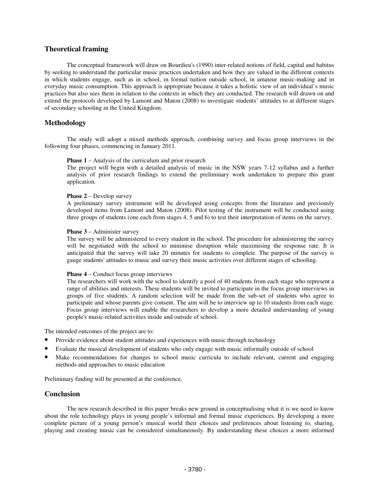## **Theoretical framing**

The conceptual framework will draw on Bourdieu's (1990) inter-related notions of field, capital and habitus by seeking to understand the particular music practices undertaken and how they are valued in the different contexts in which students engage, such as in school, in formal tuition outside school, in amateur music-making and in everyday music consumption. This approach is appropriate because it takes a holistic view of an individual's music practices but also sees them in relation to the contexts in which they are conducted. The research will drawn on and extend the protocols developed by Lamont and Maton (2008) to investigate students' attitudes to at different stages of secondary schooling in the United Kingdom.

## **Methodology**

The study will adopt a mixed methods approach, combining survey and focus group interviews in the following four phases, commencing in January 2011.

#### **Phase 1** – Analysis of the curriculum and prior research

The project will begin with a detailed analysis of music in the NSW years 7-12 syllabus and a further analysis of prior research findings to extend the preliminary work undertaken to prepare this grant application.

#### **Phase 2** – Develop survey

A preliminary survey instrument will be developed using concepts from the literature and previously developed items from Lamont and Maton (2008). Pilot testing of the instrument will be conducted using three groups of students (one each from stages 4, 5 and 6) to test their interpretation of items on the survey.

#### **Phase 3** – Administer survey

The survey will be administered to every student in the school. The procedure for administering the survey will be negotiated with the school to minimise disruption while maximising the response rate. It is anticipated that the survey will take 20 minutes for students to complete. The purpose of the survey is gauge students'attitudes to music and survey their music activities over different stages of schooling.

#### **Phase 4** – Conduct focus group interviews

The researchers will work with the school to identify a pool of 40 students from each stage who represent a range of abilities and interests. These students will be invited to participate in the focus group interviews in groups of five students. A random selection will be made from the sub-set of students who agree to participate and whose parents give consent. The aim will be to interview up to 10 students from each stage. Focus group interviews will enable the researchers to develop a more detailed understanding of young people's music-related activities inside and outside of school.

The intended outcomes of the project are to:

- Provide evidence about student attitudes and experiences with music through technology
- Evaluate the musical development of students who only engage with music informally outside of school
- Make recommendations for changes to school music curricula to include relevant, current and engaging methods and approaches to music education

Preliminary finding will be presented at the conference.

#### **Conclusion**

The new research described in this paper breaks new ground in conceptualising what it is we need to know about the role technology plays in young people's informal and formal music experiences. By developing a more complete picture of a young person's musical world their choices and preferences about listening to, sharing, playing and creating music can be considered simultaneously. By understanding these choices a more informed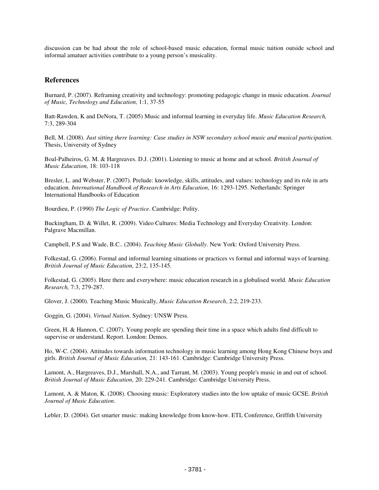discussion can be had about the role of school-based music education, formal music tuition outside school and informal amatuer activities contribute to a young person's musicality.

#### **References**

Burnard, P. (2007). Reframing creativity and technology: promoting pedagogic change in music education. *Journal of Music, Technology and Education,* 1:1, 37-55

Batt-Rawden, K and DeNora, T. (2005) Music and informal learning in everyday life. *Music Education Research,* 7:3, 289-304

Bell, M. (2008). *Just sitting there learning: Case studies in NSW secondary school music and musical participation.* Thesis, University of Sydney

Boal-Palheiros, G. M. & Hargreaves. D.J. (2001). Listening to music at home and at school. *British Journal of Music Education,* 18: 103-118

Bresler, L. and Webster, P. (2007). Prelude: knowledge, skills, attitudes, and values: technology and its role in arts education. *International Handbook of Research in Arts Education*, 16: 1293-1295. Netherlands: Springer International Handbooks of Education

Bourdieu, P. (1990) *The Logic of Practice*. Cambridge: Polity.

Buckingham, D. & Willet, R. (2009). Video Cultures: Media Technology and Everyday Creativity. London: Palgrave Macmillan.

Campbell, P.S and Wade, B.C.. (2004). *Teaching Music Globally*. New York: Oxford University Press.

Folkestad, G. (2006). Formal and informal learning situations or practices vs formal and informal ways of learning. *British Journal of Music Education,* 23:2, 135-145.

Folkestad, G. (2005). Here there and everywhere: music education research in a globalised world. *Music Education Research,* 7:3, 279-287.

Glover, J. (2000). Teaching Music Musically, *Music Education Research*, 2:2, 219-233.

Goggin, G. (2004). *Virtual Nation*. Sydney: UNSW Press.

Green, H. & Hannon, C. (2007). Young people are spending their time in a space which adults find difficult to supervise or understand. Report. London: Demos.

Ho, W-C. (2004). Attitudes towards information technology in music learning among Hong Kong Chinese boys and girls. *British Journal of Music Education,* 21: 143-161. Cambridge: Cambridge University Press.

Lamont, A., Hargreaves, D.J., Marshall, N.A., and Tarrant, M. (2003). Young people's music in and out of school. *British Journal of Music Education,* 20: 229-241. Cambridge: Cambridge University Press.

Lamont, A. & Maton, K. (2008). Choosing music: Exploratory studies into the low uptake of music GCSE. *British Journal of Music Education*.

Lebler, D. (2004). Get smarter music: making knowledge from know-how. ETL Conference, Griffith University